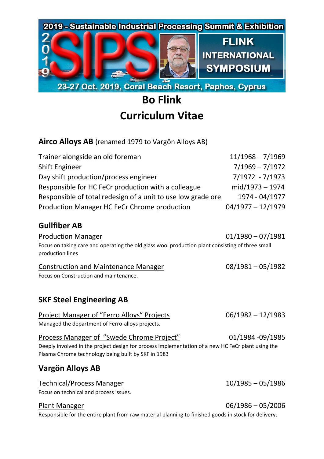

# **Bo Flink Curriculum Vitae**

# **Airco Alloys AB** (renamed 1979 to Vargön Alloys AB)

| Trainer alongside an old foreman                             | $11/1968 - 7/1969$  |
|--------------------------------------------------------------|---------------------|
| Shift Engineer                                               | $7/1969 - 7/1972$   |
| Day shift production/process engineer                        | 7/1972 - 7/1973     |
| Responsible for HC FeCr production with a colleague          | mid/1973 - 1974     |
| Responsible of total redesign of a unit to use low grade ore | 1974 - 04/1977      |
| Production Manager HC FeCr Chrome production                 | $04/1977 - 12/1979$ |

## **Gullfiber AB**

Production Manager 01/1980 – 07/1981 Focus on taking care and operating the old glass wool production plant consisting of three small production lines

| <b>Construction and Maintenance Manager</b> | $08/1981 - 05/1982$ |
|---------------------------------------------|---------------------|
| Focus on Construction and maintenance.      |                     |

# **SKF Steel Engineering AB**

| Project Manager of "Ferro Alloys" Projects       | $06/1982 - 12/1983$ |
|--------------------------------------------------|---------------------|
| Managed the department of Ferro-alloys projects. |                     |

Process Manager of "Swede Chrome Project" 01/1984 -09/1985

Deeply involved in the project design for process implementation of a new HC FeCr plant using the Plasma Chrome technology being built by SKF in 1983

# **Vargön Alloys AB**

#### Technical/Process Manager 10/1985 – 05/1986

Focus on technical and process issues.

Responsible for the entire plant from raw material planning to finished goods in stock for delivery.

#### Plant Manager 06/1986 – 05/2006